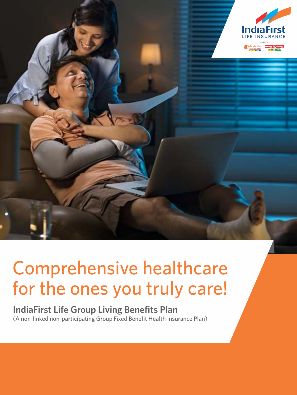

# Comprehensive healthcare for the ones you truly care!

# **IndiaFirst Life Group Living Benefits Plan**  (A non-linked non-participating Group Fixed Benefit Health Insurance Plan)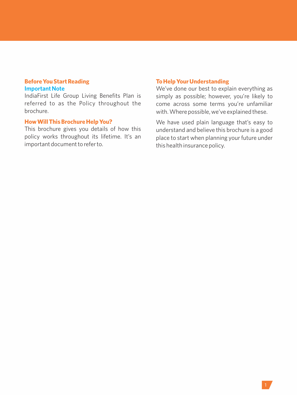## **Before You Start Reading Important Note**

IndiaFirst Life Group Living Benefits Plan is referred to as the Policy throughout the brochure.

## **How Will This Brochure Help You?**

This brochure gives you details of how this policy works throughout its lifetime. It's an important document to refer to.

# **To Help Your Understanding**

We've done our best to explain everything as simply as possible; however, you're likely to come across some terms you're unfamiliar with. Where possible, we've explained these.

We have used plain language that's easy to understand and believe this brochure is a good place to start when planning your future under this health insurance policy.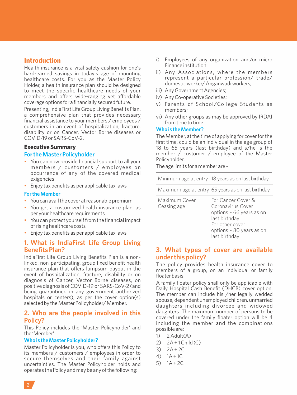# **Introduction**

Health insurance is a vital safety cushion for one's hard-earned savings in today's age of mounting healthcare costs. For you as the Master Policy Holder, a health insurance plan should be designed to meet the specific healthcare needs of your members and offers wide-ranging yet affordable coverage options for a financially secured future.

Presenting, IndiaFirst Life Group Living Benefits Plan, a comprehensive plan that provides necessary financial assistance to your members / employees / customers in an event of hospitalization, fracture, disability or on Cancer, Vector Borne diseases or COVID-19 or SARS-CoV-2.

# **Executive Summary**

## **For the Master Policyholder**

- You can now provide financial support to all your members / customers / employees on occurrence of any of the covered medical exigencies
- Enjoy tax benefits as per applicable tax laws

#### **For the Member**

- You can avail the cover at reasonable premium
- You get a customized health insurance plan, as per your healthcare requirements
- You can protect yourself from the financial impact of rising healthcare costs
- Enjoy tax benefits as per applicable tax laws

## **1. What is IndiaFirst Life Group Living Benefits Plan?**

IndiaFirst Life Group Living Benefits Plan is a nonlinked, non-participating, group fixed benefit health insurance plan that offers lumpsum payout in the event of hospitalization, fracture, disability or on diagnosis of Cancer, Vector Borne diseases, on positive diagnosis of COVID-19 or SARS-CoV-2 (and being quarantined in any government authorized hospitals or centers), as per the cover option(s) selected by the Master Policyholder/ Member.

## **2. Who are the people involved in this Policy?**

This Policy includes the 'Master Policyholder' and the 'Member'.

#### **Who is the Master Policyholder?**

Master Policyholder is you, who offers this Policy to its members / customers / employees in order to secure themselves and their family against uncertainties. The Master Policyholder holds and operates the Policy and may be any of the following:

- i) Employees of any organization and/or micro Finance institution.
- ii) Any Associations, where the members represent a particular profession/ trade/ domestic worker/ Anganwadi workers;
- iii) Any Government Agencies;
- iv) Any Co-operative Societies;
- v) Parents of School/College Students as members;
- vi) Any other groups as may be approved by IRDAI from time to time.

#### **Who is the Member?**

The Member, at the time of applying for cover for the first time, could be an individual in the age group of 18 to 65 years (last birthday) and s/he is the member / customer / employee of the Master Policyholder.

The age limits for a member are -

|                              | Minimum age at entry 18 years as on last birthday                                                                                                    |
|------------------------------|------------------------------------------------------------------------------------------------------------------------------------------------------|
|                              | Maximum age at entry 65 years as on last birthday                                                                                                    |
| Maximum Cover<br>Ceasing age | For Cancer Cover &<br>Coronavirus Cover<br>options - 66 years as on<br>last birthday<br>For other cover<br>options - 80 years as on<br>last birthday |

## **3. What types of cover are available under this policy?**

The policy provides health insurance cover to members of a group, on an individual or family floater basis.

A family floater policy shall only be applicable with Daily Hospital Cash Benefit (DHCB) cover option. The member can include his /her legally wedded spouse, dependent unemployed children, unmarried daughters including divorcee and widowed daughters. The maximum number of persons to be covered under the family floater option will be 4 including the member and the combinations possible are:

- $1)$  2 Adult(A)
- 2)  $2A + 1$  Child (C)
- $3) 7A + 2C$
- 4) 1A + 1C
- 5)  $1A + 2C$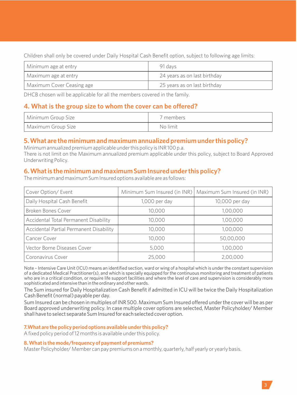Children shall only be covered under Daily Hospital Cash Benefit option, subject to following age limits:

| Minimum age at entry      | 91 davs                      |
|---------------------------|------------------------------|
| Maximum age at entry      | 24 years as on last birthday |
| Maximum Cover Ceasing age | 25 years as on last birthday |

DHCB chosen will be applicable for all the members covered in the family.

# **4.What is the group size to whom the cover can be offered?**

| Minimum Group Size | 7 members. |
|--------------------|------------|
| Maximum Group Size | No limit   |

# **5. What are the minimum and maximum annualized premium under this policy?**

Minimum annualized premium applicable under this policy is INR 100 p.a. There is not limit on the Maximum annualized premium applicable under this policy, subject to Board Approved Underwriting Policy.

# **6. What is the minimum and maximum Sum Insured under this policy?**

The minimum and maximum Sum Insured options available are as follows:

| Cover Option/ Event                     |                 | Minimum Sum Insured (in INR)   Maximum Sum Insured (in INR) |
|-----------------------------------------|-----------------|-------------------------------------------------------------|
| Daily Hospital Cash Benefit             | $1,000$ per day | 10,000 per day                                              |
| Broken Bones Cover                      | 10.000          | 1,00,000                                                    |
| Accidental Total Permanent Disability   | 10.000          | 1,00,000                                                    |
| Accidental Partial Permanent Disability | 10,000          | 1,00,000                                                    |
| Cancer Cover                            | 10,000          | 50,00,000                                                   |
| Vector Borne Diseases Cover             | 5,000           | 1,00,000                                                    |
| Coronavirus Cover                       | 25,000          | 2,00,000                                                    |

Note – Intensive Care Unit (ICU) means an identified section, ward or wing of a hospital which is under the constant supervision of a dedicated Medical Practitioner(s), and which is specially equipped for the continuous monitoring and treatment of patients who are in a critical condition, or require life support facilities and where the level of care and supervision is considerably more sophisticated and intensive than in the ordinary and other wards.

The Sum insured for Daily Hospitalization Cash Benefit if admitted in ICU will be twice the Daily Hospitalization Cash Benefit (normal) payable per day.

Sum Insured can be chosen in multiples of INR 500. Maximum Sum Insured offered under the cover will be as per Board approved underwriting policy. In case multiple cover options are selected, Master Policyholder/ Member shall have to select separate Sum Insured for each selected cover option.

## **7. What are the policy period options available under this policy?**

A fixed policy period of 12 months is available under this policy.

#### **8. What is the mode/frequency of payment of premiums?**

Master Policyholder/ Member can pay premiums on a monthly, quarterly, half yearly or yearly basis.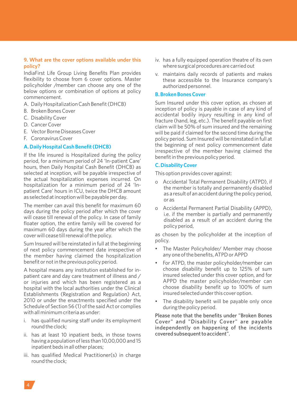#### **9. What are the cover options available under this policy?**

IndiaFirst Life Group Living Benefits Plan provides flexibility to choose from 6 cover options. Master policyholder /member can choose any one of the below options or combination of options at policy commencement.

- A. Daily Hospitalization Cash Benefit (DHCB)
- B. Broken Bones Cover
- C. Disability Cover
- D. Cancer Cover
- E. Vector Borne Diseases Cover
- F. Coronavirus Cover

#### **A. Daily Hospital Cash Benefit (DHCB)**

If the life insured is Hospitalized during the policy period, for a minimum period of 24 'In-patient Care' hours, then Daily Hospital Cash Benefit (DHCB) as selected at inception, will be payable irrespective of the actual hospitalization expenses incurred. On hospitalization for a minimum period of 24 'Inpatient Care' hours in ICU, twice the DHCB amount as selected at inception will be payable per day.

The member can avail this benefit for maximum 60 days during the policy period after which the cover will cease till renewal of the policy. In case of family floater option, the entire family will be covered for maximum 60 days during the year after which the cover will cease till renewal of the policy.

Sum Insured will be reinstated in full at the beginning of next policy commencement date irrespective of the member having claimed the hospitalization benefit or not in the previous policy period.

A hospital means any institution established for inpatient care and day care treatment of illness and / or injuries and which has been registered as a hospital with the local authorities under the Clinical Establishments (Registration and Regulation) Act, 2010 or under the enactments specified under the Schedule of Section 56 (1) of the said Act or complies with all minimum criteria as under:

- i. has qualified nursing staff under its employment round the clock;
- ii. has at least 10 inpatient beds, in those towns having a population of less than 10,00,000 and 15 inpatient beds in all other places;
- iii. has qualified Medical Practitioner(s) in charge round the clock;
- iv. has a fully equipped operation theatre of its own where surgical procedures are carried out
- v. maintains daily records of patients and makes these accessible to the Insurance company's authorized personnel.

#### **B. Broken Bones Cover**

Sum Insured under this cover option, as chosen at inception of policy is payable in case of any kind of accidental bodily injury resulting in any kind of fracture (hand, leg, etc.). The benefit payable on first claim will be 50% of sum insured and the remaining will be paid if claimed for the second time during the policy period. Sum Insured will be reinstated in full at the beginning of next policy commencement date irrespective of the member having claimed the benefit in the previous policy period.

## **C. Disability Cover**

This option provides cover against:

- o Accidental Total Permanent Disability (ATPD), if the member is totally and permanently disabled as a result of an accident during the policy period, or as
- o Accidental Permanent Partial Disability (APPD), i.e. if the member is partially and permanently disabled as a result of an accident during the policy period,

as chosen by the policyholder at the inception of policy.

- The Master Policyholder/ Member may choose any one of the benefits, ATPD or APPD
- For ATPD, the master policyholder/member can choose disability benefit up to 125% of sum insured selected under this cover option, and for APPD the master policyholder/member can choose disability benefit up to 100% of sum insured selected under this cover option.
- The disability benefit will be payable only once during the policy period.

Please note that the benefits under "Broken Bones Cover" and "Disability Cover" are payable independently on happening of the incidents covered subsequent to accident".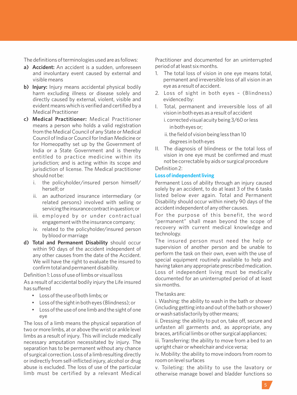The definitions of terminologies used are as follows:

- **a) Accident:** An accident is a sudden, unforeseen and involuntary event caused by external and visible means
- **b) Injury:** Injury means accidental physical bodily harm excluding illness or disease solely and directly caused by external, violent, visible and evident means which is verified and certified by a Medical Practitioner
- **c) Medical Practitioner:** Medical Practitioner means a person who holds a valid registration from the Medical Council of any State or Medical Council of India or Council for Indian Medicine or for Homeopathy set up by the Government of India or a State Government and is thereby entitled to practice medicine within its jurisdiction; and is acting within its scope and jurisdiction of license. The Medical practitioner should not be:
	- i. the policyholder/insured person himself/ herself; or
	- ii. an authorized insurance intermediary (or related persons) involved with selling or servicing the insurance contract in question; or
	- iii. employed by or under contractual engagement with the insurance company;
	- iv. related to the policyholder/insured person by blood or marriage
- **d) Total and Permanent Disability** should occur within 90 days of the accident independent of any other causes from the date of the Accident. We will have the right to evaluate the insured to confirm total and permanent disability.

Definition 1: Loss of use of limbs or visual loss

As a result of accidental bodily injury the Life insured has suffered

- Loss of the use of both limbs; or
- Loss of the sight in both eyes (Blindness); or
- Loss of the use of one limb and the sight of one eye

The loss of a limb means the physical separation of two or more limbs, at or above the wrist or ankle level limbs as a result of injury. This will include medically necessary amputation necessitated by injury. The separation has to be permanent without any chance of surgical correction. Loss of a limb resulting directly or indirectly from self-inflicted injury, alcohol or drug abuse is excluded. The loss of use of the particular limb must be certified by a relevant Medical

Practitioner and documented for an uninterrupted period of at least six months.

- 1. The total loss of vision in one eye means total, permanent and irreversible loss of all vision in an eye as a result of accident.
- 2. Loss of sight in both eyes (Blindness) evidenced by:
- I. Total, permanent and irreversible loss of all vision in both eyes as a result of accident
	- i. corrected visual acuity being 3/60 or less in both eyes or;
	- ii. the field of vision being less than 10 degrees in both eyes
- II. The diagnosis of blindness or the total loss of vision in one eye must be confirmed and must not be correctable by aids or surgical procedure Definition 2:

#### **Loss of independent living**

Permanent Loss of ability through an injury caused solely by an accident, to do at least 3 of the 6 tasks listed below ever again. Total and Permanent Disability should occur within ninety 90 days of the accident independent of any other causes.

For the purpose of this benefit, the word "permanent" shall mean beyond the scope of recovery with current medical knowledge and technology.

The insured person must need the help or supervision of another person and be unable to perform the task on their own, even with the use of special equipment routinely available to help and having taken any appropriate prescribed medication. Loss of independent living must be medically documented for an uninterrupted period of at least six months.

#### The tasks are:

i. Washing: the ability to wash in the bath or shower (including getting into and out of the bath or shower) or wash satisfactorily by other means;

ii. Dressing: the ability to put on, take off, secure and unfasten all garments and, as appropriate, any braces, artificial limbs or other surgical appliances;

iii. Transferring: the ability to move from a bed to an upright chair or wheelchair and vice versa;

iv. Mobility: the ability to move indoors from room to room on level surfaces

v. Toileting: the ability to use the lavatory or otherwise manage bowel and bladder functions so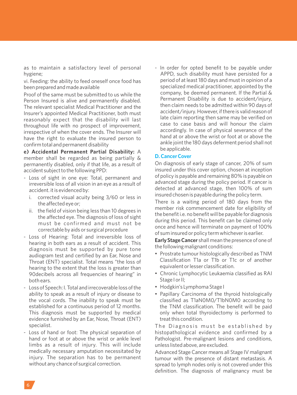as to maintain a satisfactory level of personal hygiene;

vi. Feeding: the ability to feed oneself once food has been prepared and made available

Proof of the same must be submitted to us while the Person Insured is alive and permanently disabled. The relevant specialist Medical Practitioner and the Insurer's appointed Medical Practitioner, both must reasonably expect that the disability will last throughout life with no prospect of improvement, irrespective of when the cover ends. The Insurer will have the right to evaluate the insured person to confirm total and permanent disability

**e) Accidental Permanent Partial Disability:** A member shall be regarded as being partially & permanently disabled, only if that life, as a result of accident subject to the following PPD:

- Loss of sight in one eye: Total, permanent and irreversible loss of all vision in an eye as a result of accident. it is evidenced by:
	- i. corrected visual acuity being 3/60 or less in the affected eye or;
	- ii. the field of vision being less than 10 degrees in the affected eye. The diagnosis of loss of sight must be confirmed and must not be correctable by aids or surgical procedure
- Loss of Hearing: Total and irreversible loss of hearing in both ears as a result of accident. This diagnosis must be supported by pure tone audiogram test and certified by an Ear, Nose and Throat (ENT) specialist. Total means "the loss of hearing to the extent that the loss is greater than 90decibels across all frequencies of hearing" in both ears.
- Loss of Speech: I. Total and irrecoverable loss of the ability to speak as a result of injury or disease to the vocal cords. The inability to speak must be established for a continuous period of 12 months. This diagnosis must be supported by medical evidence furnished by an Ear, Nose, Throat (ENT) specialist.
- Loss of hand or foot: The physical separation of hand or foot at or above the wrist or ankle level limbs as a result of injury. This will include medically necessary amputation necessitated by injury. The separation has to be permanent without any chance of surgical correction.

- In order for opted benefit to be payable under APPD, such disability must have persisted for a period of at least 180 days and must in opinion of a specialized medical practitioner, appointed by the company, be deemed permanent. If the Partial & Permanent Disability is due to accident/injury, then claim needs to be admitted within 90 days of accident/injury. However, if there is valid reason of late claim reporting then same may be verified on case to case basis and will honour the claim accordingly. In case of physical severance of the hand at or above the wrist or foot at or above the ankle joint the 180 days deferment period shall not be applicable.

## **D. Cancer Cover**

On diagnosis of early stage of cancer, 20% of sum insured under this cover option, chosen at inception of policy is payable and remaining 80% is payable on advanced stage during the policy period. If cancer is detected at advanced stage, then 100% of sum insured chosen is payable during the policy term.

There is a waiting period of 180 days from the member risk commencement date for eligibility of the benefit i.e. no benefit will be payable for diagnosis during this period. This benefit can be claimed only once and hence will terminate on payment of 100% of sum insured or policy term whichever is earlier.

**Early Stage Cancer** shall mean the presence of one of the following malignant conditions:

- Prostrate tumour histologically described as TNM Classification T1a or T1b or T1c or of another equivalent or lesser classification.
- Chronic Lymphocytic Leukaemia classified as RAI Stage I or II;
- Hodgkin's Lymphoma Stage I
- Papillary Carcinoma of the thyroid histologically classified as T1aN0M0/T1bN0M0 according to the TNM classification. The benefit will be paid only when total thyroidectomy is performed to treat this condition.

The Diagnosis must be established by histopathological evidence and confirmed by a Pathologist. Pre-malignant lesions and conditions, unless listed above, are excluded.

Advanced Stage Cancer means all Stage IV malignant tumour with the presence of distant metastasis. A spread to lymph nodes only is not covered under this definition. The diagnosis of malignancy must be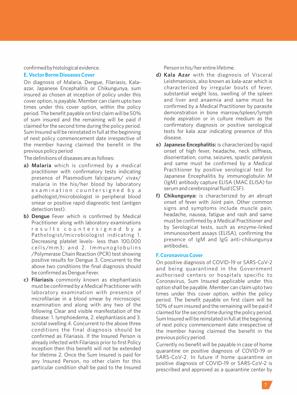#### confirmedbyhistologicalevidence.

#### **E. Vector Borne Diseases Cover**

On diagnosis of Malaria, Dengue, Filariasis, Kalaazar, Japanese Encephalitis or Chikungunya, sum insured as chosen at inception of policy under this cover option, is payable. Member can claim upto two times under this cover option, within the policy period. The benefit payable on first claim will be 50% of sum insured and the remaining will be paid if claimed for the second time during the policy period. Sum Insured will be reinstated in full at the beginning of next policy commencement date irrespective of the member having claimed the benefit in the previous policy period

The definitions of diseases are as follows:

- **a) Malaria** which is confirmed by a medical practitioner with confirmatory tests indicating presence of Plasmodium falciparum/ vivax/ malaria in the his/her blood by laboratory examination countersigned by a pathologist/microbiologist in peripheral blood smear or positive rapid diagnostic test (antigen detection test).
- **b) Dengue** Fever which is confirmed by Medical Practitioner along with laboratory examinations re sults countersigned by a Pathologist/microbiologist indicating 1. Decreasing platelet levels- less than 100,000 cells/mm3: and 2. Immunoglobulins /Polymerase Chain Reaction (PCR) test showing positive results for Dengue 3. Concurrent to the above two conditions the final diagnosis should be confirmed as Dengue Fever.
- **c) Filariasis** commonly known as elephantiasis must be confirmed by a Medical Practitioner with laboratory examination with presence of microfilariae in a blood smear by microscopic examination and along with any two of the following Clear and visible manifestation of the disease: 1. lymphoedema, 2. elephantiasis and 3. scrotal swelling 4. Concurrent to the above three conditions the final diagnosis should be confirmed as Filariasis. If the Insured Person is already infected with Filariasis prior to first Policy inception then this benefit will not be extended for lifetime 2. Once the Sum Insured is paid for any Insured Person, no other claim for this particular condition shall be paid to the Insured

Person in his/her entire lifetime.

- **d) Kala Azar** with the diagnosis of Visceral Leishmaniosis, also known as kala-azar which is characterized by irregular bouts of fever, substantial weight loss, swelling of the spleen and liver and anaemia and same must be confirmed by a Medical Practitioner by parasite demonstration in bone marrow/spleen/lymph node aspiration or in culture medium as the confirmatory diagnosis or positive serological tests for kala azar indicating presence of this disease.
- **e) Japanese Encephalitis:** is characterized by rapid onset of high fever, headache, neck stiffness, disorientation, coma, seizures, spastic paralysis and same must be confirmed by a Medical Practitioner by positive serological test for Japanese Encephalitis by immunoglobulin M (IgM) antibody capture ELISA (MAC ELISA) for serum and cerebrospinal fluid (CSF).
- **f) Chikungunya:** is characterized by an abrupt onset of fever with Joint pain. Other common signs and symptoms include muscle pain, headache, nausea, fatigue and rash and same must be confirmed by a Medical Practitioner and by Serological tests, such as enzyme-linked immunosorbent assays (ELISA), confirming the presence of IgM and IgG anti-chikungunya antibodies.

## **F. Coronavirus Cover**

On positive diagnosis of COVID-19 or SARS-CoV-2 and being quarantined in the Government authorised centers or hospitals specific to Coronavirus, Sum Insured applicable under this option shall be payable. Member can claim upto two times under this cover option, within the policy period. The benefit payable on first claim will be 50% of sum insured and the remaining will be paid if claimed for the second time during the policy period. Sum Insured will be reinstated in full at the beginning of next policy commencement date irrespective of the member having claimed the benefit in the previous policy period.

Currently no benefit will be payable in case of home quarantine on positive diagnosis of COVID-19 or SARS-CoV-2. In future if home quarantine on positive diagnosis of COVID-19 or SARS-CoV-2 is prescribed and approved as a quarantine center by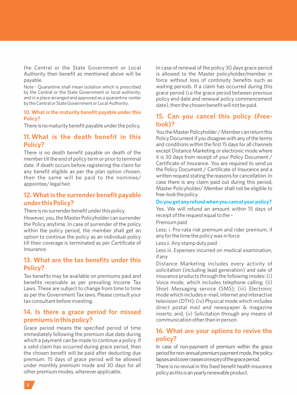the Central or the State Government or Local Authority then benefit as mentioned above will be payable.

Note - Quarantine shall mean isolation which is prescribed by the Central or the State Government or local authority; and in a place arranged and approved as a quarantine center by the Central or State Government or Local Authority.

#### **10. What is the maturity benefit payable under this Policy?**

There is no maturity benefit payable under the policy.

## **11. What is the death benefit in this Policy?**

There is no death benefit payable on death of the member till the end of policy term or prior to terminal date. If death occurs before registering the claim for any benefit eligible as per the plan option chosen, then the same will be paid to the nominee/ appointee/ legal heir.

# **12. What is the surrender benefit payable under this Policy?**

There is no surrender benefit under this policy.

However, you, the Master Policyholder can surrender the Policy anytime. In case of surrender of the policy within the policy period, the member shall get an option to continue the policy as an individual policy till their coverage is terminated as per Certificate of Insurance.

# **13. What are the tax benefits under this Policy?**

Tax benefits may be available on premiums paid and benefits receivable as per prevailing Income Tax Laws. These are subject to change from time to time as per the Government Tax laws. Please consult your tax consultant before investing.

## **14. Is there a grace period for missed premiums in this policy?**

Grace period means the specified period of time immediately following the premium due date during which a payment can be made to continue a policy. If a valid claim has occurred during grace period, then the chosen benefit will be paid after deducting due premium. 15 days of grace period will be allowed under monthly premium mode and 30 days for all other premium modes, wherever applicable.

In case of renewal of the policy 30 days grace period is allowed to the Master policyholder/member in force without loss of continuity benefits such as waiting periods. If a claim has occurred during this grace period (i.e the grace period between previous policy end date and renewal policy commencement date), then the chosen benefit will not be paid.

# **15. Can you cancel this policy (Freelook)?**

You the Master Policyholder / Member can return this Policy Document if you disagree with any of the terms and conditions within the first 15 days for all channels except Distance Marketing or electronic mode where it is 30 days from receipt of your Policy Document / Certificate of Insurance. You are required to send us the Policy Document / Certificate of Insurance and a written request stating the reasons for cancellation. In case there is any claim paid out during this period, Master Policyholder/ Member shall not be eligible to free-look the policy.

## **Do you get any refund when you cancel your policy?**

Yes. We will refund an amount within 15 days of receipt of the request equal to the –

Premium paid

Less: i. Pro-rata risk premium and rider premium, if any for the time the policy was in force

Less ii. Any stamp duty paid

Less iii. Expenses incurred on medical examination, if any

Distance Marketing includes every activity of solicitation (including lead generation) and sale of insurance products through the following modes: (i) Voice mode, which includes telephone calling; (ii) Short Messaging service (SMS); (iii) Electronic mode which includes e-mail, internet and interactive television (DTH); (iv) Physical mode which includes direct postal mail and newspaper & magazine inserts; and, (v) Solicitation through any means of communication other than in person.

# **16. What are your options to revive the policy?**

In case of non-payment of premium within the grace period for non-annual premium payment mode, the policy lapsesandcoverceasesonexpiryofthegraceperiod.

There is no revival in this fixed benefit health insurance policyasthisisanyearlyrenewableproduct.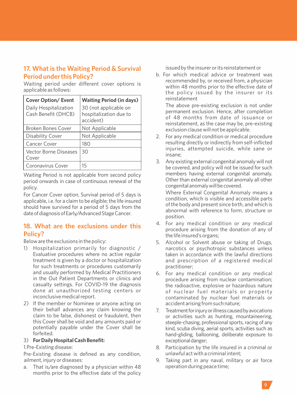# **17. What is the Waiting Period & Survival Period under this Policy?**

Waiting period under different cover options is applicable as follows:

| <b>Cover Option/ Event</b>                   | <b>Waiting Period (in days)</b>                              |
|----------------------------------------------|--------------------------------------------------------------|
| Daily Hospitalization<br>Cash Benefit (DHCB) | 30 (not applicable on<br>hospitalization due to<br>accident) |
| Broken Bones Cover                           | Not Applicable                                               |
| Disability Cover                             | Not Applicable                                               |
| Cancer Cover                                 | 180                                                          |
| Vector Borne Diseases<br>Cover               | 30                                                           |
| Coronavirus Cover                            | 15                                                           |

Waiting Period is not applicable from second policy period onwards in case of continuous renewal of the policy.

For Cancer Cover option, Survival period of 5 days is applicable, i.e. for a claim to be eligible; the life insured should have survived for a period of 5 days from the date of diagnosis of Early/Advanced Stage Cancer.

# **18. What are the exclusions under this Policy?**

Below are the exclusions in the policy:

- 1) Hospitalization primarily for diagnostic / Evaluative procedures where no active regular treatment is given by a doctor or hospitalization for such treatments or procedures customarily and usually performed by Medical Practitioners in the Out Patient Departments or clinics and casualty settings. For COVID-19 the diagnosis done at unauthorized testing centers or inconclusive medical report.
- 2) If the member or Nominee or anyone acting on their behalf advances any claim knowing the claim to be false, dishonest or fraudulent, then this Cover shall be void and any amounts paid or potentially payable under the Cover shall be forfeited.

## 3) **For Daily Hospital Cash Benefit:**

1.Pre-Existing disease:

Pre-Existing disease is defined as any condition, ailment, injury or diseases:

a. That is/are diagnosed by a physician within 48 months prior to the effective date of the policy issued by the insurer or its reinstatement or

b. For which medical advice or treatment was recommended by, or received from, a physician within 48 months prior to the effective date of the policy issued by the insurer or its reinstatement

The above pre-existing exclusion is not under permanent exclusion. Hence, after completion of 48 months from date of issuance or reinstatement, as the case may be, pre-existing exclusion clause will not be applicable.

- 2. For any medical condition or medical procedure resulting directly or indirectly from self-inflicted injuries, attempted suicide, while sane or insane;
- 3. Any existing external congenital anomaly will not be covered, and policy will not be issued for such members having external congenital anomaly. Other than external congenital anomaly all other congenital anomaly will be covered.

Where External Congenital Anomaly means a condition, which is visible and accessible parts of the body and present since birth, and which is abnormal with reference to form, structure or position.

- 4. For any medical condition or any medical procedure arising from the donation of any of the life insured's organs;
- 5. Alcohol or Solvent abuse or taking of Drugs, narcotics or psychotropic substances unless taken in accordance with the lawful directions and prescription of a registered medical practitioner;
- 6. For any medical condition or any medical procedure arising from nuclear contamination; the radioactive, explosive or hazardous nature of nuclear fuel materials or property contaminated by nuclear fuel materials or accident arising from such nature;
- 7. Treatment for injury or illness caused by avocations or activities such as hunting, mountaineering, steeple-chasing, professional sports, racing of any kind, scuba diving, aerial sports, activities such as hand-gliding, ballooning, deliberate exposure to exceptionaldanger;
- 8. Participation by the life insured in a criminal or unlawful act with a criminal intent;
- 9. Taking part in any naval, military or air force operation during peace time;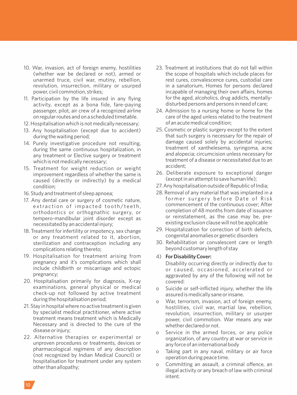- 10. War, invasion, act of foreign enemy, hostilities (whether war be declared or not), armed or unarmed truce, civil war, mutiny, rebellion, revolution, insurrection, military or usurped power, civil commotion, strikes;
- 11. Participation by the life insured in any flying activity, except as a bona fide, fare-paying passenger, pilot, air crew of a recognized airline on regular routes and on a scheduled timetable.
- 12. Hospitalisation which is not medically necessary;
- 13. Any hospitalisation (except due to accident) during the waiting period;
- 14. Purely investigative procedure not resulting, during the same continuous hospitalization, in any treatment or Elective surgery or treatment which is not medically necessary;
- 15. Treatment for weight reduction or weight improvement regardless of whether the same is caused (directly or indirectly) by a medical condition;
- 16. Study and treatment of sleep apnoea;
- 17. Any dental care or surgery of cosmetic nature, extraction of impacted tooth/teeth, orthodontics or orthognathic surgery, or tempero-mandibular joint disorder except as necessitated by an accidental injury;
- 18. Treatment for infertility or impotency, sex change or any treatment related to it, abortion, sterilization and contraception including any complications relating thereto;
- 19. Hospitalisation for treatment arising from pregnancy and it's complications which shall include childbirth or miscarriage and ectopic pregnancy;
- 20. Hospitalisation primarily for diagnosis, X-ray examinations, general physical or medical check-up not followed by active treatment during the hospitalisation period;
- 21. Stay in hospital where no active treatment is given by specialist medical practitioner, where active treatment means treatment which is Medically Necessary and is directed to the cure of the disease or injury;
- 22. Alternative therapies or experimental or unproven procedures or treatments, devices or pharmacological regimens of any description (not recognized by Indian Medical Council) or hospitalisation for treatment under any system other than allopathy;
- 23. Treatment at institutions that do not fall within the scope of hospitals which include places for rest cures, convalescence cures, custodial care in a sanatorium, Homes for persons declared incapable of managing their own affairs, homes for the aged, alcoholics, drug addicts, mentallydisturbed persons and persons in need of care;
- 24. Admission to a nursing home or home for the care of the aged unless related to the treatment of an acute medical condition;
- 25. Cosmetic or plastic surgery except to the extent that such surgery is necessary for the repair of damage caused solely by accidental injuries; treatment of xanthelesema, syringoma, acne and alopecia; circumcision unless necessary for treatment of a disease or necessitated due to an accident;
- 26. Deliberate exposure to exceptional danger (except in an attempt to save human life);
- 27. Any hospitalisation outside of Republic of India;
- 28. Removal of any material that was implanted in a former surgery before Date of Risk commencement of the continuous cover; After completion of 48 months from date of issuance or reinstatement, as the case may be, preexisting exclusion clause will not be applicable
- 29. Hospitalization for correction of birth defects, congenital anomalies or genetic disorders
- 30. Rehabilitation or convalescent care or length beyond customary length of stay
- 4) **For Disability Cover:**

Disability occurring directly or indirectly due to or caused, occasioned, accelerated or aggravated by any of the following will not be covered:

- o Suicide or self-inflicted injury, whether the life assured is medically sane or insane.
- o War, terrorism, invasion, act of foreign enemy, hostilities, civil war, martial law, rebellion, revolution, insurrection, military or usurper power, civil commotion. War means any war whether declared or not.
- o Service in the armed forces, or any police organization, of any country at war or service in any force of an international body
- Taking part in any naval, military or air force operation during peace time.
- o Committing an assault, a criminal offence, an illegal activity or any breach of law with criminal intent.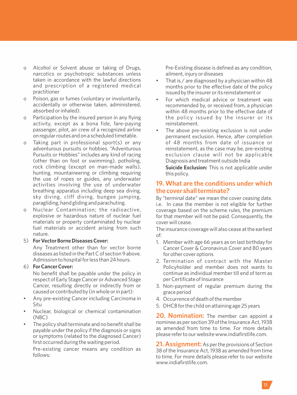- o Alcohol or Solvent abuse or taking of Drugs, narcotics or psychotropic substances unless taken in accordance with the lawful directions and prescription of a registered medical practitioner
- o Poison, gas or fumes (voluntary or involuntarily, accidentally or otherwise taken, administered, absorbed or inhaled).
- o Participation by the insured person in any flying activity, except as a bona fide, fare-paying passenger, pilot, air crew of a recognized airline on regular routes and on a scheduled timetable.
- o Taking part in professional sport(s) or any adventurous pursuits or hobbies. "Adventurous Pursuits or Hobbies" includes any kind of racing (other than on foot or swimming), potholing, rock climbing (except on man-made walls), hunting, mountaineering or climbing requiring the use of ropes or guides, any underwater activities involving the use of underwater breathing apparatus including deep sea diving, sky diving, cliff diving, bungee jumping, paragliding, hand gliding and parachuting.
- o Nuclear Contamination; the radioactive, explosive or hazardous nature of nuclear fuel materials or property contaminated by nuclear fuel materials or accident arising from such nature.

#### 5) **For Vector Borne Diseases Cover:**

Any Treatment other than for vector borne diseases as listed in the Part C of section 9 above. Admission to hospital for less than 24 hours.

## 6) **For Cancer Cover:**

No benefit shall be payable under the policy in respect of Early Stage Cancer or Advanced Stage Cancer, resulting directly or indirectly from or caused or contributed by (in whole or in part):

- Any pre-existing Cancer including Carcinoma in Situ
- Nuclear, biological or chemical contamination (NBC)
- The policy shall terminate and no benefit shall be payable under the policy if the diagnosis or signs or symptoms (related to the diagnosed Cancer) first occurred during the waiting period.

Pre-existing cancer means any condition as follows:

Pre-Existing disease is defined as any condition, ailment, injury or diseases

- That is  $/$  are diagnosed by a physician within 48 months prior to the effective date of the policy issued by the insurer or its reinstatement or
- For which medical advice or treatment was recommended by, or received from, a physician within 48 months prior to the effective date of the policy issued by the insurer or its reinstatement.
- The above pre-existing exclusion is not under permanent exclusion. Hence, after completion of 48 months from date of issuance or reinstatement, as the case may be, pre-existing exclusion clause will not be applicable Diagnosis and treatment outside India

**Suicide Exclusion:** This is not applicable under this policy.

## **19. What are the conditions under which the cover shall terminate?**

By "terminal date" we mean the cover ceasing date. i.e. In case the member is not eligible for further coverage based on the scheme rules, the premium for that member will not be paid. Consequently, the cover will cease.

The insurance coverage will also cease at the earliest of:

- 1. Member with age 66 years as on last birthday for Cancer Cover & Coronavirus Cover and 80 years for other cover options
- 2. Termination of contract with the Master Policyholder and member does not wants to continue as individual member till end of term as per Certificate of Insurance
- 3. Non-payment of regular premium during the grace period
- 4. Occurrence of death of the member
- 5. DHCB for the child on attaining age 25 years

**20. Nomination:** The member can appoint a nominee as per section 39 of the Insurance Act, 1938 as amended from time to time. For more details please refer to our website www.indiafirstlife.com.

**21. Assignment:** As per the provisions of Section 38 of the Insurance Act, 1938 as amended from time to time. For more details please refer to our website www.indiafirstlife.com.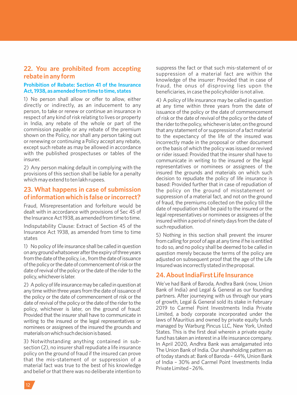# **22. You are prohibited from accepting rebate in any form**

## **Prohibition of Rebate: Section 41 of the Insurance Act, 1938, as amended from time to time, states**

1) No person shall allow or offer to allow, either directly or indirectly, as an inducement to any person, to take or renew or continue an insurance in respect of any kind of risk relating to lives or property in India, any rebate of the whole or part of the commission payable or any rebate of the premium shown on the Policy, nor shall any person taking out or renewing or continuing a Policy accept any rebate, except such rebate as may be allowed in accordance with the published prospectuses or tables of the insurer.

2) Any person making default in complying with the provisions of this section shall be liable for a penalty which may extend to ten lakh rupees.

# **23. What happens in case of submission of information which is false or incorrect?**

Fraud, Misrepresentation and forfeiture would be dealt with in accordance with provisions of Sec 45 of the Insurance Act 1938, as amended from time to time.

Indisputability Clause: Extract of Section 45 of the Insurance Act 1938, as amended from time to time states

1) No policy of life insurance shall be called in question onanygroundwhatsoeveraftertheexpiryofthreeyears from the date of the policy, i.e., from the date of issuance of the policy or the date of commencement of risk or the date of revival of the policy or the date of the rider to the policy,whicheverislater.

2) A policy of life insurance may be called in question at any time within three years from the date of issuance of the policy or the date of commencement of risk or the date of revival of the policy or the date of the rider to the policy, whichever is later, on the ground of fraud: Provided that the insurer shall have to communicate in writing to the insured or the legal representatives or nominees or assignees of the insured the grounds and materialsonwhichsuchdecisionisbased.

3) Notwithstanding anything contained in subsection (2), no insurer shall repudiate a life insurance policy on the ground of fraud if the insured can prove that the mis-statement of or suppression of a material fact was true to the best of his knowledge and belief or that there was no deliberate intention to

suppress the fact or that such mis-statement of or suppression of a material fact are within the knowledge of the insurer: Provided that in case of fraud, the onus of disproving lies upon the beneficiaries, in case the policyholder is not alive.

4) Apolicy of life insurance may be called in question at any time within three years from the date of issuance of the policy or the date of commencement of risk or the date of revival of the policy or the date of the rider to the policy, whichever is later, on the ground that any statement of or suppression of a fact material to the expectancy of the life of the insured was incorrectly made in the proposal or other document on the basis of which the policy was issued or revived or rider issued: Provided that the insurer shall have to communicate in writing to the insured or the legal representatives or nominees or assignees of the insured the grounds and materials on which such decision to repudiate the policy of life insurance is based: Provided further that in case of repudiation of the policy on the ground of misstatement or suppression of a material fact, and not on the ground of fraud, the premiums collected on the policy till the date of repudiation shall be paid to the insured or the legal representatives or nominees or assignees of the insured within a period of ninety days from the date of suchrepudiation.

5) Nothing in this section shall prevent the insurer from calling for proof of age at any time if he is entitled to do so, and no policy shall be deemed to be called in question merely because the terms of the policy are adjusted on subsequent proof that the age of the Life Insuredwas incorrectlystatedintheproposal.

## **24. About IndiaFirst Life Insurance**

We've had Bank of Baroda, Andhra Bank (now, Union Bank of India) and Legal & General as our founding partners. After journeying with us through our years of growth, Legal & General sold its stake in February 2019 to Carmel Point Investments India Private Limited, a body corporate incorporated under the laws of Mauritius and owned by private equity funds managed by Warburg Pincus LLC, New York, United States. This is the first deal wherein a private equity fund has taken an interest in a life insurance company. In April 2020, Andhra Bank was amalgamated into The Union Bank of India. Our shareholding pattern as of today stands at: Bank of Baroda - 44%, Union Bank of India – 30% and Carmel Point Investments India PrivateLimited–26%.